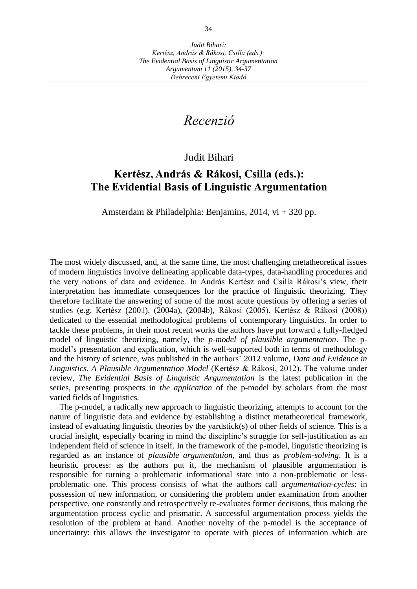# *Recenzió*

### Judit Bihari

## **Kertész, András & Rákosi, Csilla (eds.): The Evidential Basis of Linguistic Argumentation**

Amsterdam & Philadelphia: Benjamins, 2014, vi + 320 pp.

The most widely discussed, and, at the same time, the most challenging metatheoretical issues of modern linguistics involve delineating applicable data-types, data-handling procedures and the very notions of data and evidence. In András Kertész and Csilla Rákosi's view, their interpretation has immediate consequences for the practice of linguistic theorizing. They therefore facilitate the answering of some of the most acute questions by offering a series of studies (e.g. Kertész (2001), (2004a), (2004b), Rákosi (2005), Kertész & Rákosi (2008)) dedicated to the essential methodological problems of contemporary linguistics. In order to tackle these problems, in their most recent works the authors have put forward a fully-fledged model of linguistic theorizing, namely, the *p-model of plausible argumentation*. The pmodel's presentation and explication, which is well-supported both in terms of methodology and the history of science, was published in the authors' 2012 volume, *Data and Evidence in Linguistics. A Plausible Argumentation Model* (Kertész & Rákosi, 2012). The volume under review, *The Evidential Basis of Linguistic Argumentation* is the latest publication in the series, presenting prospects in *the application* of the p-model by scholars from the most varied fields of linguistics*.*

The p-model, a radically new approach to linguistic theorizing, attempts to account for the nature of linguistic data and evidence by establishing a distinct metatheoretical framework, instead of evaluating linguistic theories by the yardstick(s) of other fields of science. This is a crucial insight, especially bearing in mind the discipline's struggle for self-justification as an independent field of science in itself. In the framework of the p-model, linguistic theorizing is regarded as an instance of *plausible argumentation*, and thus as *problem-solving*. It is a heuristic process: as the authors put it, the mechanism of plausible argumentation is responsible for turning a problematic informational state into a non-problematic or lessproblematic one. This process consists of what the authors call *argumentation-cycles*: in possession of new information, or considering the problem under examination from another perspective, one constantly and retrospectively re-evaluates former decisions, thus making the argumentation process cyclic and prismatic. A successful argumentation process yields the resolution of the problem at hand. Another novelty of the p-model is the acceptance of uncertainty: this allows the investigator to operate with pieces of information which are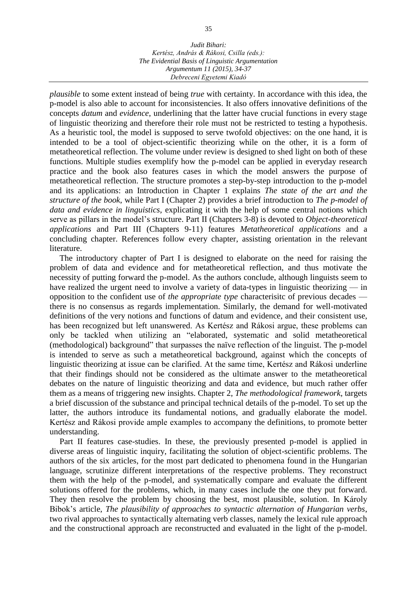#### *Judit Bihari: Kertész, András & Rákosi, Csilla (eds.): The Evidential Basis of Linguistic Argumentation Argumentum 11 (2015), 34-37 Debreceni Egyetemi Kiadó*

*plausible* to some extent instead of being *true* with certainty. In accordance with this idea, the p-model is also able to account for inconsistencies. It also offers innovative definitions of the concepts *datum* and *evidence*, underlining that the latter have crucial functions in every stage of linguistic theorizing and therefore their role must not be restricted to testing a hypothesis. As a heuristic tool, the model is supposed to serve twofold objectives: on the one hand, it is intended to be a tool of object-scientific theorizing while on the other, it is a form of metatheoretical reflection. The volume under review is designed to shed light on both of these functions. Multiple studies exemplify how the p-model can be applied in everyday research practice and the book also features cases in which the model answers the purpose of metatheoretical reflection. The structure promotes a step-by-step introduction to the p-model and its applications: an Introduction in Chapter 1 explains *The state of the art and the structure of the book*, while Part I (Chapter 2) provides a brief introduction to *The p-model of data and evidence in linguistics*, explicating it with the help of some central notions which serve as pillars in the model's structure. Part II (Chapters 3-8) is devoted to *Object-theoretical applications* and Part III (Chapters 9-11) features *Metatheoretical applications* and a concluding chapter. References follow every chapter, assisting orientation in the relevant literature.

The introductory chapter of Part I is designed to elaborate on the need for raising the problem of data and evidence and for metatheoretical reflection, and thus motivate the necessity of putting forward the p-model. As the authors conclude, although linguists seem to have realized the urgent need to involve a variety of data-types in linguistic theorizing — in opposition to the confident use of *the appropriate type* characterisitc of previous decades there is no consensus as regards implementation. Similarly, the demand for well-motivated definitions of the very notions and functions of datum and evidence, and their consistent use, has been recognized but left unanswered. As Kertész and Rákosi argue, these problems can only be tackled when utilizing an "elaborated, systematic and solid metatheoretical (methodological) background" that surpasses the naïve reflection of the linguist. The p-model is intended to serve as such a metatheoretical background, against which the concepts of linguistic theorizing at issue can be clarified. At the same time, Kertész and Rákosi underline that their findings should not be considered as the ultimate answer to the metatheoretical debates on the nature of linguistic theorizing and data and evidence, but much rather offer them as a means of triggering new insights. Chapter 2, *The methodological framework*, targets a brief discussion of the substance and principal technical details of the p-model. To set up the latter, the authors introduce its fundamental notions, and gradually elaborate the model. Kertész and Rákosi provide ample examples to accompany the definitions, to promote better understanding.

Part II features case-studies. In these, the previously presented p-model is applied in diverse areas of linguistic inquiry, facilitating the solution of object-scientific problems. The authors of the six articles, for the most part dedicated to phenomena found in the Hungarian language, scrutinize different interpretations of the respective problems. They reconstruct them with the help of the p-model, and systematically compare and evaluate the different solutions offered for the problems, which, in many cases include the one they put forward. They then resolve the problem by choosing the best, most plausible, solution. In Károly Bibok's article, *The plausibility of approaches to syntactic alternation of Hungarian verbs*, two rival approaches to syntactically alternating verb classes, namely the lexical rule approach and the constructional approach are reconstructed and evaluated in the light of the p-model.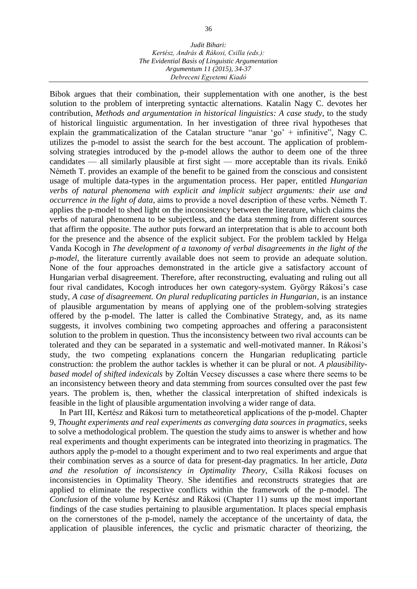#### *Judit Bihari: Kertész, András & Rákosi, Csilla (eds.): The Evidential Basis of Linguistic Argumentation Argumentum 11 (2015), 34-37 Debreceni Egyetemi Kiadó*

Bibok argues that their combination, their supplementation with one another, is the best solution to the problem of interpreting syntactic alternations. Katalin Nagy C. devotes her contribution, *Methods and argumentation in historical linguistics: A case study*, to the study of historical linguistic argumentation. In her investigation of three rival hypotheses that explain the grammaticalization of the Catalan structure "anar 'go' + infinitive", Nagy C. utilizes the p-model to assist the search for the best account. The application of problemsolving strategies introduced by the p-model allows the author to deem one of the three candidates — all similarly plausible at first sight — more acceptable than its rivals. Enikő Németh T. provides an example of the benefit to be gained from the conscious and consistent usage of multiple data-types in the argumentation process. Her paper, entitled *Hungarian verbs of natural phenomena with explicit and implicit subject arguments: their use and occurrence in the light of data,* aims to provide a novel description of these verbs. Németh T. applies the p-model to shed light on the inconsistency between the literature, which claims the verbs of natural phenomena to be subjectless, and the data stemming from different sources that affirm the opposite. The author puts forward an interpretation that is able to account both for the presence and the absence of the explicit subject. For the problem tackled by Helga Vanda Kocogh in *The development of a taxonomy of verbal disagreements in the light of the p-model*, the literature currently available does not seem to provide an adequate solution. None of the four approaches demonstrated in the article give a satisfactory account of Hungarian verbal disagreement. Therefore, after reconstructing, evaluating and ruling out all four rival candidates, Kocogh introduces her own category-system. György Rákosi's case study, *A case of disagreement. On plural reduplicating particles in Hungarian*, is an instance of plausible argumentation by means of applying one of the problem-solving strategies offered by the p-model. The latter is called the Combinative Strategy, and, as its name suggests, it involves combining two competing approaches and offering a paraconsistent solution to the problem in question. Thus the inconsistency between two rival accounts can be tolerated and they can be separated in a systematic and well-motivated manner. In Rákosi's study, the two competing explanations concern the Hungarian reduplicating particle construction: the problem the author tackles is whether it can be plural or not. *A plausibilitybased model of shifted indexicals* by Zoltán Vecsey discusses a case where there seems to be an inconsistency between theory and data stemming from sources consulted over the past few years. The problem is, then, whether the classical interpretation of shifted indexicals is feasible in the light of plausible argumentation involving a wider range of data.

In Part III, Kertész and Rákosi turn to metatheoretical applications of the p-model. Chapter 9, *Thought experiments and real experiments as converging data sources in pragmatics*, seeks to solve a methodological problem. The question the study aims to answer is whether and how real experiments and thought experiments can be integrated into theorizing in pragmatics. The authors apply the p-model to a thought experiment and to two real experiments and argue that their combination serves as a source of data for present-day pragmatics. In her article, *Data and the resolution of inconsistency in Optimality Theory*, Csilla Rákosi focuses on inconsistencies in Optimality Theory. She identifies and reconstructs strategies that are applied to eliminate the respective conflicts within the framework of the p-model. The *Conclusion* of the volume by Kertész and Rákosi (Chapter 11) sums up the most important findings of the case studies pertaining to plausible argumentation. It places special emphasis on the cornerstones of the p-model, namely the acceptance of the uncertainty of data, the application of plausible inferences, the cyclic and prismatic character of theorizing, the